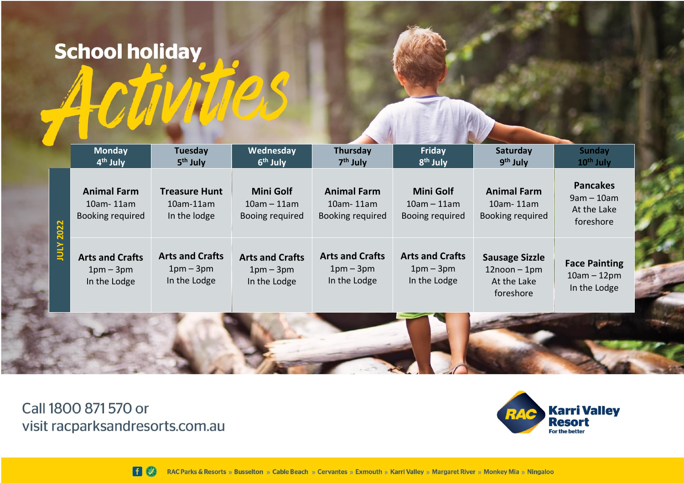## **School holiday**

|              | <b>Monday</b><br>4 <sup>th</sup> July               | <b>Tuesday</b><br>5 <sup>th</sup> July                   | Wednesday<br>6 <sup>th</sup> July                    | Thursday<br>$7th$ July                                     | Friday<br>8 <sup>th</sup> July                       | Saturday<br>9 <sup>th</sup> July                                     | <b>Sunday</b><br>$10th$ July                                |
|--------------|-----------------------------------------------------|----------------------------------------------------------|------------------------------------------------------|------------------------------------------------------------|------------------------------------------------------|----------------------------------------------------------------------|-------------------------------------------------------------|
| 2022         | <b>Animal Farm</b><br>10am-11am<br>Booking required | <b>Treasure Hunt</b><br>$10$ am- $11$ am<br>In the lodge | <b>Mini Golf</b><br>$10am - 11am$<br>Booing required | <b>Animal Farm</b><br>$10$ am- $11$ am<br>Booking required | <b>Mini Golf</b><br>$10am - 11am$<br>Booing required | <b>Animal Farm</b><br>10am-11am<br>Booking required                  | <b>Pancakes</b><br>$9am - 10am$<br>At the Lake<br>foreshore |
| <b>INTY:</b> | <b>Arts and Crafts</b><br>$1pm-3pm$<br>In the Lodge | <b>Arts and Crafts</b><br>$1pm-3pm$<br>In the Lodge      | <b>Arts and Crafts</b><br>$1pm-3pm$<br>In the Lodge  | <b>Arts and Crafts</b><br>$1pm-3pm$<br>In the Lodge        | <b>Arts and Crafts</b><br>$1pm-3pm$<br>In the Lodge  | <b>Sausage Sizzle</b><br>$12$ noon – 1pm<br>At the Lake<br>foreshore | <b>Face Painting</b><br>$10am - 12pm$<br>In the Lodge       |
|              |                                                     |                                                          |                                                      |                                                            |                                                      |                                                                      |                                                             |

Call 1800 871 570 or visit racparksandresorts.com.au